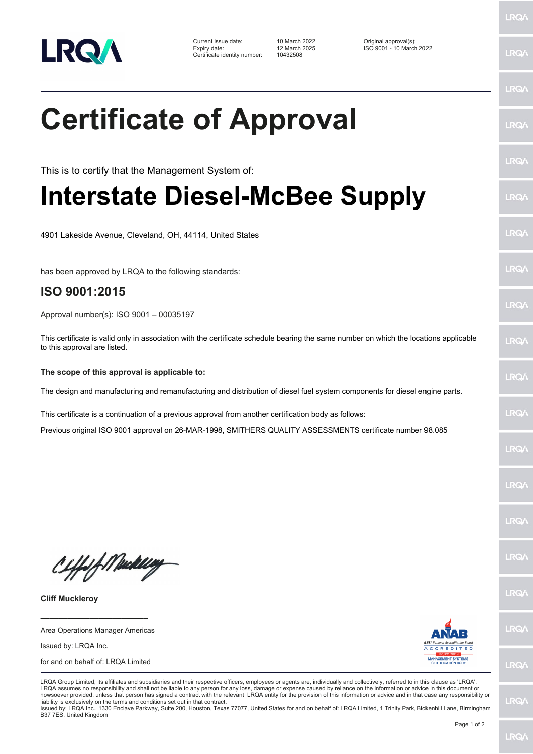

Current issue date: 10 March 2022 Original approval(s): Expiry date: 12 March 2025 ISO 9001 - 10 March 2022 Certificate identity number: 10432508

LRQ/

LRQ/

LRQ/

LRQ/

LRQ/

LRQ/

LRQ/

LRQ/

LRQ/

**IRQ** 

LRQ/

LRQ/

LRQ/

LRQ/

**IRQ** 

**LRO/** 

LRQ/

LRQ/

**LRQ/** 

LRQ/

## **Certificate of Approval**

This is to certify that the Management System of:

## **Interstate Diesel-McBee Supply**

4901 Lakeside Avenue, Cleveland, OH, 44114, United States

has been approved by LRQA to the following standards:

## **ISO 9001:2015**

Approval number(s): ISO 9001 – 00035197

This certificate is valid only in association with the certificate schedule bearing the same number on which the locations applicable to this approval are listed.

## **The scope of this approval is applicable to:**

The design and manufacturing and remanufacturing and distribution of diesel fuel system components for diesel engine parts.

This certificate is a continuation of a previous approval from another certification body as follows:

Previous original ISO 9001 approval on 26-MAR-1998, SMITHERS QUALITY ASSESSMENTS certificate number 98.085

Ciffeft Maker

**Cliff Muckleroy**

**\_\_\_\_\_\_\_\_\_\_\_\_\_\_\_\_\_\_\_\_\_\_\_\_** Area Operations Manager Americas

Issued by: LRQA Inc.

for and on behalf of: LRQA Limited



LRQA Group Limited, its affiliates and subsidiaries and their respective officers, employees or agents are, individually and collectively, referred to in this clause as 'LRQA'. LRQA assumes no responsibility and shall not be liable to any person for any loss, damage or expense caused by reliance on the information or advice in this document or howsoever provided, unless that person has signed a contract with the relevant LRQA entity for the provision of this information or advice and in that case any responsibility or liability is exclusively on the terms and conditions set out in that contract.

Issued by: LRQA Inc., 1330 Enclave Parkway, Suite 200, Houston, Texas 77077, United States for and on behalf of: LRQA Limited, 1 Trinity Park, Bickenhill Lane, Birmingham B37 7ES, United Kingdom